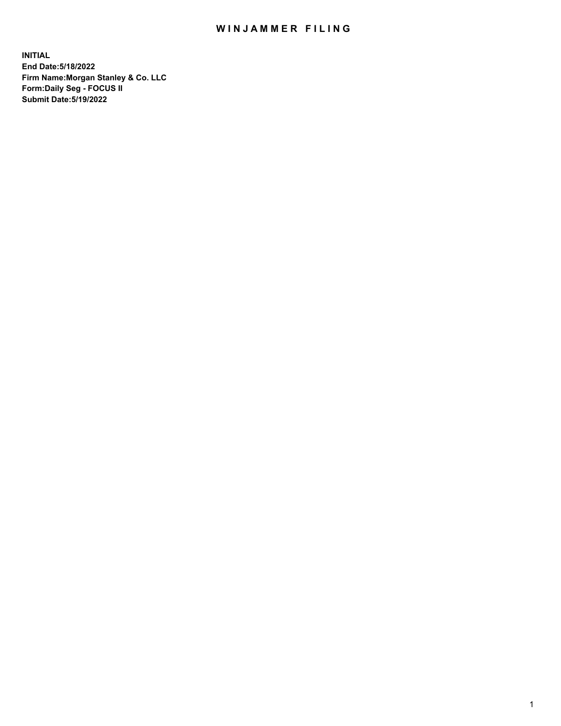## WIN JAMMER FILING

**INITIAL End Date:5/18/2022 Firm Name:Morgan Stanley & Co. LLC Form:Daily Seg - FOCUS II Submit Date:5/19/2022**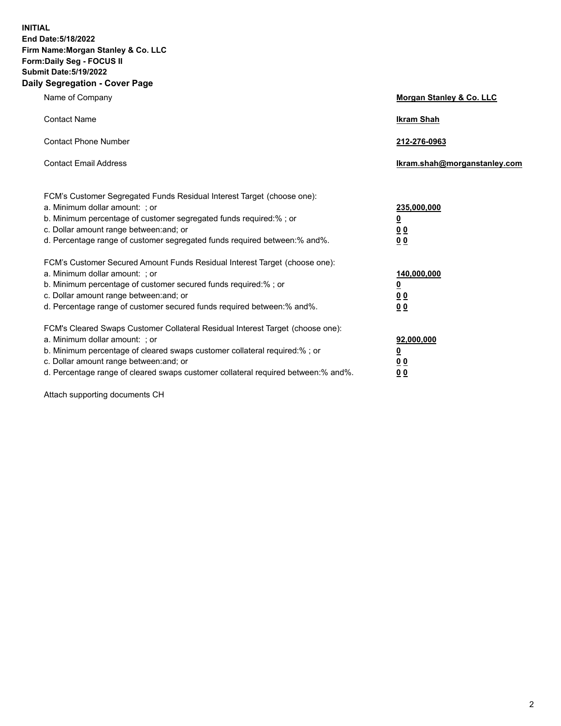**INITIAL End Date:5/18/2022 Firm Name:Morgan Stanley & Co. LLC Form:Daily Seg - FOCUS II Submit Date:5/19/2022 Daily Segregation - Cover Page**

| Name of Company                                                                                                                                                                                                                                                                                                                | Morgan Stanley & Co. LLC                               |
|--------------------------------------------------------------------------------------------------------------------------------------------------------------------------------------------------------------------------------------------------------------------------------------------------------------------------------|--------------------------------------------------------|
| <b>Contact Name</b>                                                                                                                                                                                                                                                                                                            | <b>Ikram Shah</b>                                      |
| <b>Contact Phone Number</b>                                                                                                                                                                                                                                                                                                    | 212-276-0963                                           |
| <b>Contact Email Address</b>                                                                                                                                                                                                                                                                                                   | Ikram.shah@morganstanley.com                           |
| FCM's Customer Segregated Funds Residual Interest Target (choose one):<br>a. Minimum dollar amount: ; or<br>b. Minimum percentage of customer segregated funds required:% ; or<br>c. Dollar amount range between: and; or<br>d. Percentage range of customer segregated funds required between:% and%.                         | 235,000,000<br><u>0</u><br>0 <sup>0</sup><br><u>00</u> |
| FCM's Customer Secured Amount Funds Residual Interest Target (choose one):<br>a. Minimum dollar amount: ; or<br>b. Minimum percentage of customer secured funds required:% ; or<br>c. Dollar amount range between: and; or<br>d. Percentage range of customer secured funds required between:% and%.                           | 140,000,000<br><u>0</u><br><u>00</u><br>00             |
| FCM's Cleared Swaps Customer Collateral Residual Interest Target (choose one):<br>a. Minimum dollar amount: ; or<br>b. Minimum percentage of cleared swaps customer collateral required:% ; or<br>c. Dollar amount range between: and; or<br>d. Percentage range of cleared swaps customer collateral required between:% and%. | 92,000,000<br><u>0</u><br><u>00</u><br>00              |

Attach supporting documents CH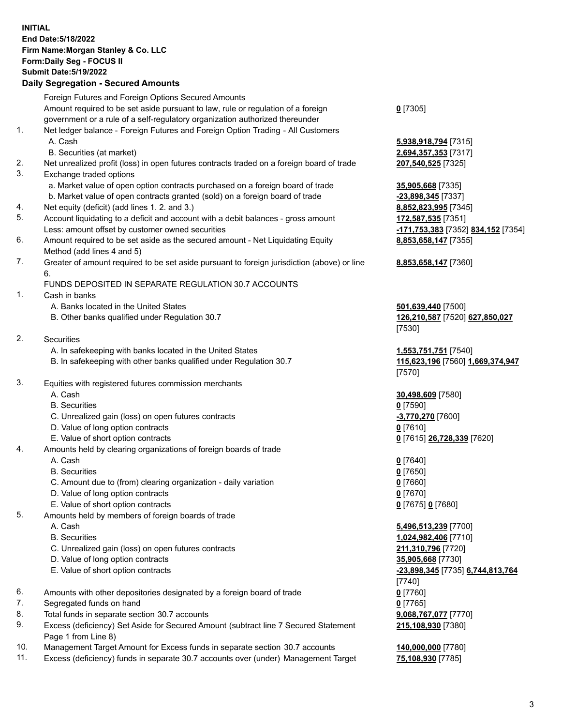## **INITIAL End Date:5/18/2022 Firm Name:Morgan Stanley & Co. LLC Form:Daily Seg - FOCUS II Submit Date:5/19/2022**

## **Daily Segregation - Secured Amounts**

Foreign Futures and Foreign Options Secured Amounts Amount required to be set aside pursuant to law, rule or regulation of a foreign government or a rule of a self-regulatory organization authorized thereunder 1. Net ledger balance - Foreign Futures and Foreign Option Trading - All Customers A. Cash **5,938,918,794** [7315] B. Securities (at market) **2,694,357,353** [7317] 2. Net unrealized profit (loss) in open futures contracts traded on a foreign board of trade **207,540,525** [7325] 3. Exchange traded options a. Market value of open option contracts purchased on a foreign board of trade **35,905,668** [7335] b. Market value of open contracts granted (sold) on a foreign board of trade **-23,898,345** [7337] 4. Net equity (deficit) (add lines 1. 2. and 3.) **8,852,823,995** [7345] 5. Account liquidating to a deficit and account with a debit balances - gross amount **172,587,535** [7351] Less: amount offset by customer owned securities **-171,753,383** [7352] **834,152** [7354] 6. Amount required to be set aside as the secured amount - Net Liquidating Equity Method (add lines 4 and 5) 7. Greater of amount required to be set aside pursuant to foreign jurisdiction (above) or line 6. FUNDS DEPOSITED IN SEPARATE REGULATION 30.7 ACCOUNTS 1. Cash in banks A. Banks located in the United States **501,639,440** [7500] B. Other banks qualified under Regulation 30.7 **126,210,587** [7520] **627,850,027** 2. Securities A. In safekeeping with banks located in the United States **1,553,751,751** [7540] B. In safekeeping with other banks qualified under Regulation 30.7 **115,623,196** [7560] **1,669,374,947** 3. Equities with registered futures commission merchants A. Cash **30,498,609** [7580] B. Securities **0** [7590] C. Unrealized gain (loss) on open futures contracts **-3,770,270** [7600] D. Value of long option contracts **0** [7610] E. Value of short option contracts **0** [7615] **26,728,339** [7620] 4. Amounts held by clearing organizations of foreign boards of trade A. Cash **0** [7640] B. Securities **0** [7650] C. Amount due to (from) clearing organization - daily variation **0** [7660] D. Value of long option contracts **0** [7670] E. Value of short option contracts **0** [7675] **0** [7680] 5. Amounts held by members of foreign boards of trade A. Cash **5,496,513,239** [7700] B. Securities **1,024,982,406** [7710] C. Unrealized gain (loss) on open futures contracts **211,310,796** [7720] D. Value of long option contracts **35,905,668** [7730] E. Value of short option contracts **-23,898,345** [7735] **6,744,813,764** 6. Amounts with other depositories designated by a foreign board of trade **0** [7760] 7. Segregated funds on hand **0** [7765] 8. Total funds in separate section 30.7 accounts **9,068,767,077** [7770] 9. Excess (deficiency) Set Aside for Secured Amount (subtract line 7 Secured Statement

Page 1 from Line 8) 10. Management Target Amount for Excess funds in separate section 30.7 accounts **140,000,000** [7780]

11. Excess (deficiency) funds in separate 30.7 accounts over (under) Management Target **75,108,930** [7785]

**0** [7305]

**8,853,658,147** [7355]

## **8,853,658,147** [7360]

[7530]

[7570]

[7740] **215,108,930** [7380]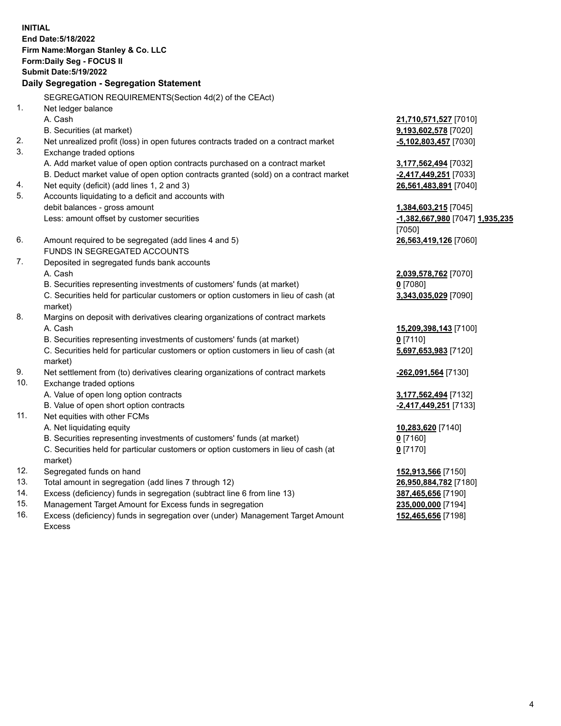**INITIAL End Date:5/18/2022 Firm Name:Morgan Stanley & Co. LLC Form:Daily Seg - FOCUS II Submit Date:5/19/2022 Daily Segregation - Segregation Statement** SEGREGATION REQUIREMENTS(Section 4d(2) of the CEAct) 1. Net ledger balance A. Cash **21,710,571,527** [7010] B. Securities (at market) **9,193,602,578** [7020] 2. Net unrealized profit (loss) in open futures contracts traded on a contract market **-5,102,803,457** [7030] 3. Exchange traded options A. Add market value of open option contracts purchased on a contract market **3,177,562,494** [7032] B. Deduct market value of open option contracts granted (sold) on a contract market **-2,417,449,251** [7033] 4. Net equity (deficit) (add lines 1, 2 and 3) **26,561,483,891** [7040] 5. Accounts liquidating to a deficit and accounts with debit balances - gross amount **1,384,603,215** [7045] Less: amount offset by customer securities **-1,382,667,980** [7047] **1,935,235** [7050] 6. Amount required to be segregated (add lines 4 and 5) **26,563,419,126** [7060] FUNDS IN SEGREGATED ACCOUNTS 7. Deposited in segregated funds bank accounts A. Cash **2,039,578,762** [7070] B. Securities representing investments of customers' funds (at market) **0** [7080] C. Securities held for particular customers or option customers in lieu of cash (at market) **3,343,035,029** [7090] 8. Margins on deposit with derivatives clearing organizations of contract markets A. Cash **15,209,398,143** [7100] B. Securities representing investments of customers' funds (at market) **0** [7110] C. Securities held for particular customers or option customers in lieu of cash (at market) **5,697,653,983** [7120] 9. Net settlement from (to) derivatives clearing organizations of contract markets **-262,091,564** [7130] 10. Exchange traded options A. Value of open long option contracts **3,177,562,494** [7132] B. Value of open short option contracts **-2,417,449,251** [7133] 11. Net equities with other FCMs A. Net liquidating equity **10,283,620** [7140] B. Securities representing investments of customers' funds (at market) **0** [7160] C. Securities held for particular customers or option customers in lieu of cash (at market) **0** [7170] 12. Segregated funds on hand **152,913,566** [7150] 13. Total amount in segregation (add lines 7 through 12) **26,950,884,782** [7180] 14. Excess (deficiency) funds in segregation (subtract line 6 from line 13) **387,465,656** [7190] 15. Management Target Amount for Excess funds in segregation **235,000,000** [7194]

16. Excess (deficiency) funds in segregation over (under) Management Target Amount Excess

**152,465,656** [7198]